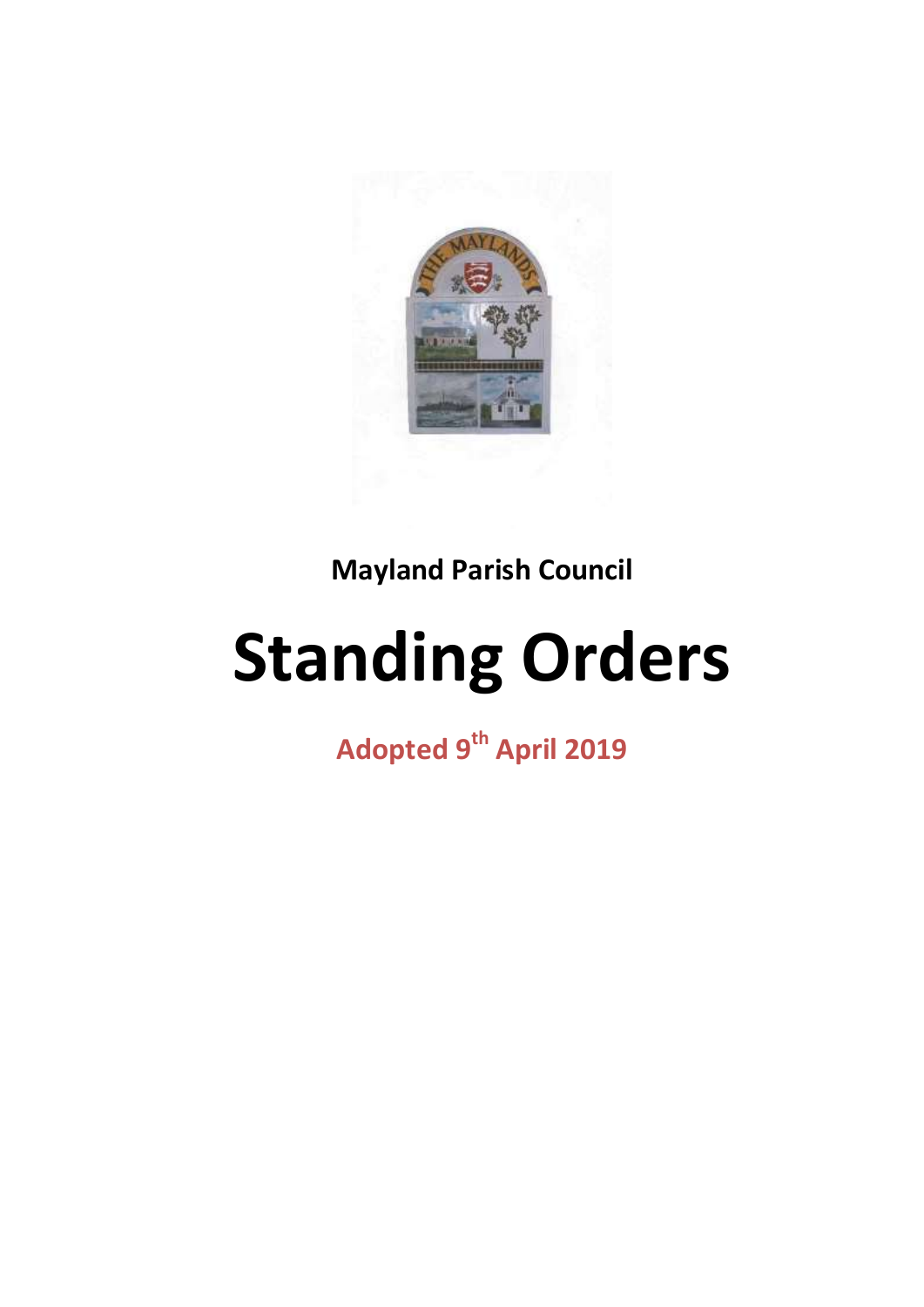

**Mayland Parish Council**

# **Standing Orders**

**Adopted 9th April 2019**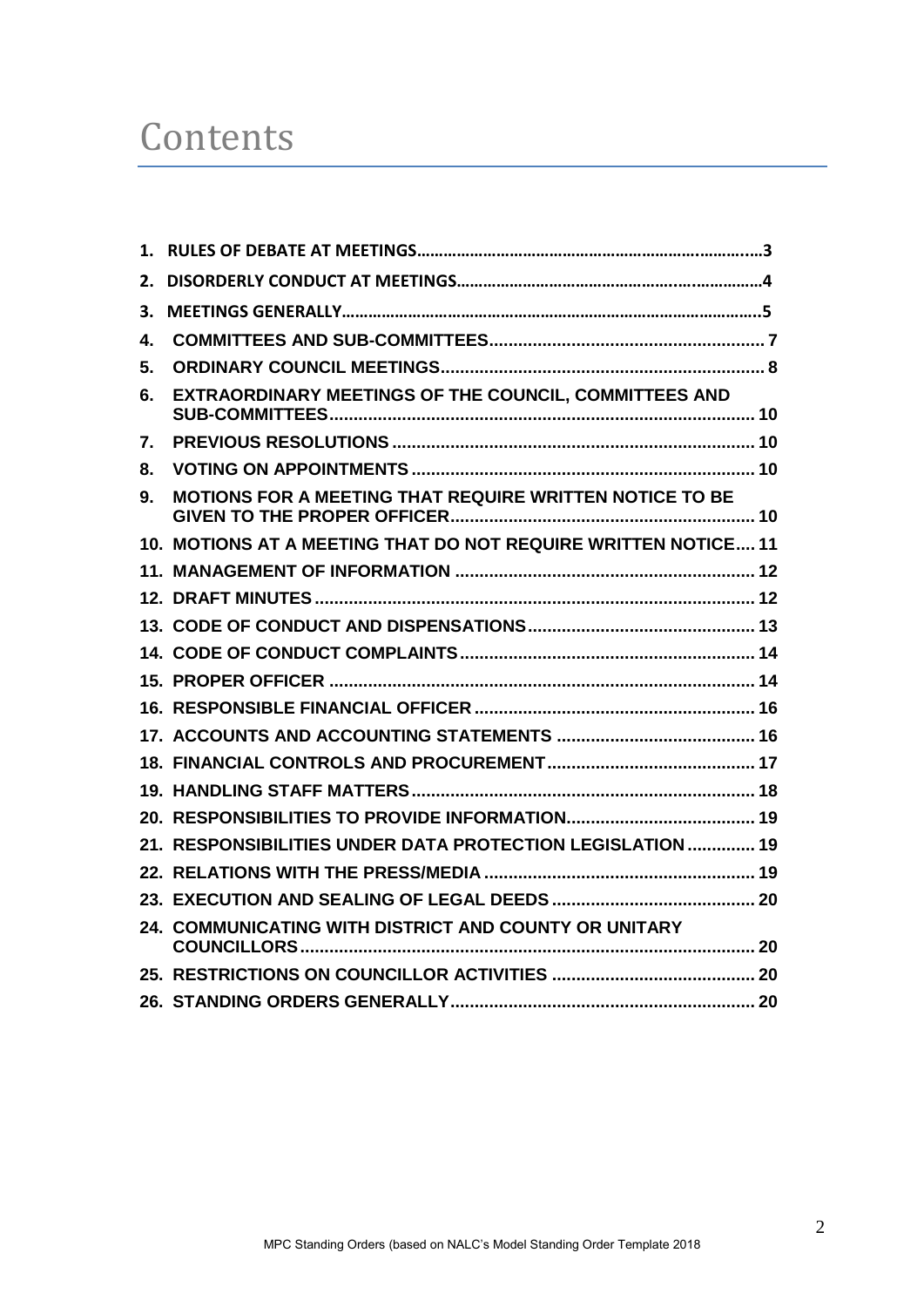## **Contents**

| 1. |                                                                |  |
|----|----------------------------------------------------------------|--|
| 2. |                                                                |  |
| З. |                                                                |  |
| 4. |                                                                |  |
| 5. |                                                                |  |
| 6. | EXTRAORDINARY MEETINGS OF THE COUNCIL, COMMITTEES AND          |  |
| 7. |                                                                |  |
| 8. |                                                                |  |
| 9. | <b>MOTIONS FOR A MEETING THAT REQUIRE WRITTEN NOTICE TO BE</b> |  |
|    | 10. MOTIONS AT A MEETING THAT DO NOT REQUIRE WRITTEN NOTICE 11 |  |
|    |                                                                |  |
|    |                                                                |  |
|    |                                                                |  |
|    |                                                                |  |
|    |                                                                |  |
|    |                                                                |  |
|    |                                                                |  |
|    |                                                                |  |
|    |                                                                |  |
|    |                                                                |  |
|    | 21. RESPONSIBILITIES UNDER DATA PROTECTION LEGISLATION  19     |  |
|    |                                                                |  |
|    |                                                                |  |
|    | 24. COMMUNICATING WITH DISTRICT AND COUNTY OR UNITARY          |  |
|    |                                                                |  |
|    |                                                                |  |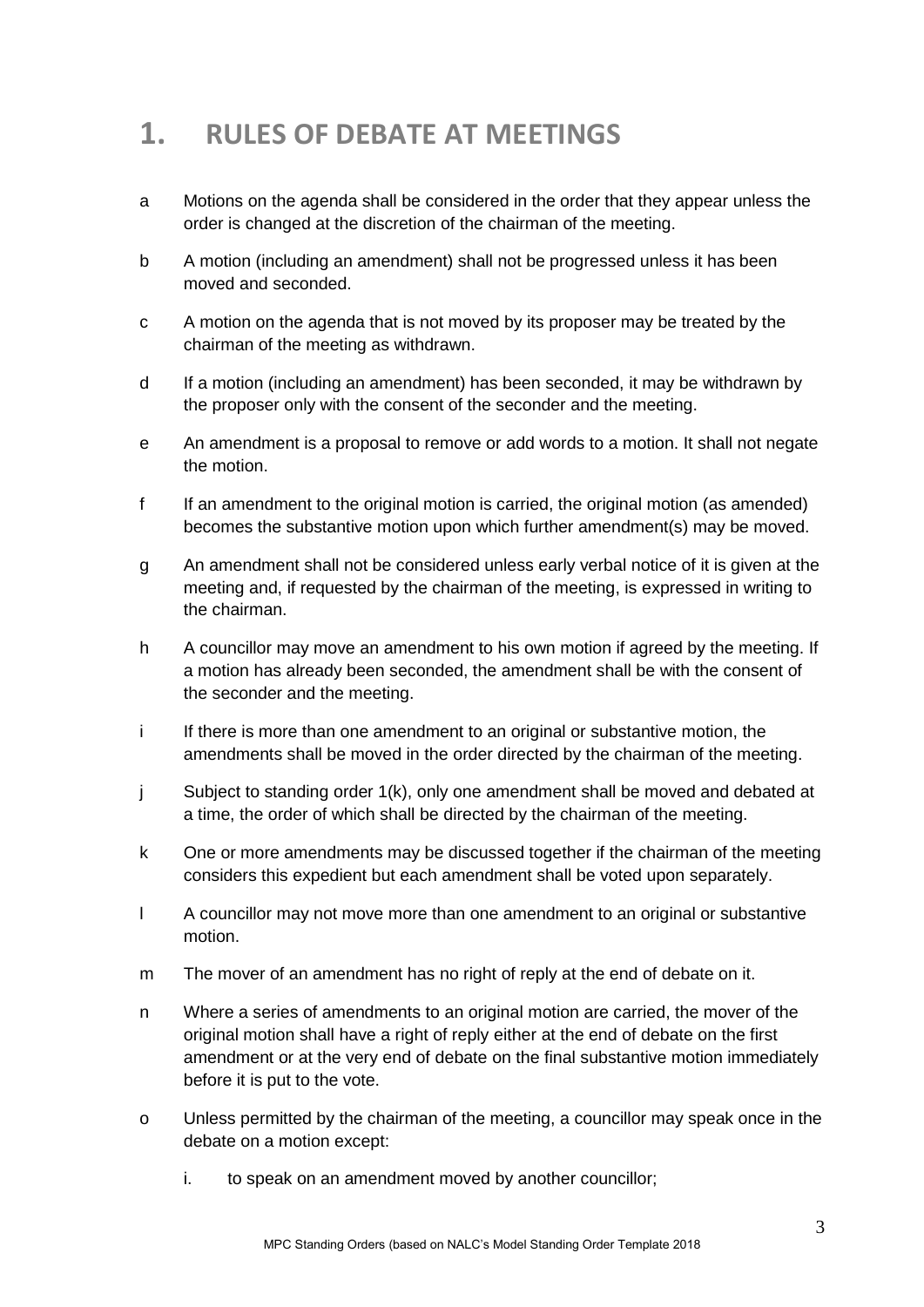## **1. RULES OF DEBATE AT MEETINGS**

- a Motions on the agenda shall be considered in the order that they appear unless the order is changed at the discretion of the chairman of the meeting.
- b A motion (including an amendment) shall not be progressed unless it has been moved and seconded.
- c A motion on the agenda that is not moved by its proposer may be treated by the chairman of the meeting as withdrawn.
- d If a motion (including an amendment) has been seconded, it may be withdrawn by the proposer only with the consent of the seconder and the meeting.
- e An amendment is a proposal to remove or add words to a motion. It shall not negate the motion.
- f If an amendment to the original motion is carried, the original motion (as amended) becomes the substantive motion upon which further amendment(s) may be moved.
- g An amendment shall not be considered unless early verbal notice of it is given at the meeting and, if requested by the chairman of the meeting, is expressed in writing to the chairman.
- h A councillor may move an amendment to his own motion if agreed by the meeting. If a motion has already been seconded, the amendment shall be with the consent of the seconder and the meeting.
- i If there is more than one amendment to an original or substantive motion, the amendments shall be moved in the order directed by the chairman of the meeting.
- j Subject to standing order 1(k), only one amendment shall be moved and debated at a time, the order of which shall be directed by the chairman of the meeting.
- k One or more amendments may be discussed together if the chairman of the meeting considers this expedient but each amendment shall be voted upon separately.
- l A councillor may not move more than one amendment to an original or substantive motion.
- m The mover of an amendment has no right of reply at the end of debate on it.
- n Where a series of amendments to an original motion are carried, the mover of the original motion shall have a right of reply either at the end of debate on the first amendment or at the very end of debate on the final substantive motion immediately before it is put to the vote.
- o Unless permitted by the chairman of the meeting, a councillor may speak once in the debate on a motion except:
	- i. to speak on an amendment moved by another councillor;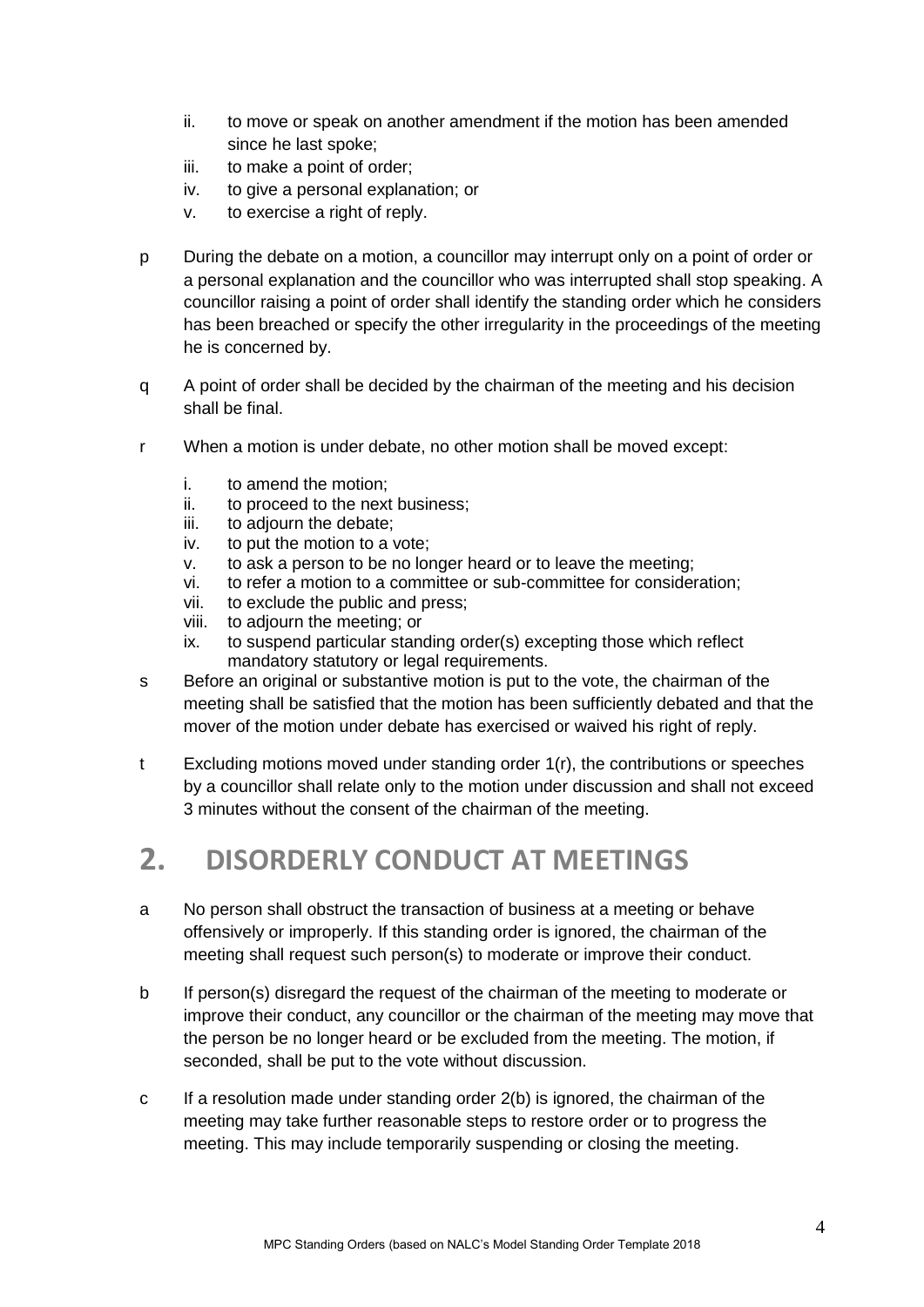- ii. to move or speak on another amendment if the motion has been amended since he last spoke;
- iii. to make a point of order;
- iv. to give a personal explanation; or
- v. to exercise a right of reply.
- p During the debate on a motion, a councillor may interrupt only on a point of order or a personal explanation and the councillor who was interrupted shall stop speaking. A councillor raising a point of order shall identify the standing order which he considers has been breached or specify the other irregularity in the proceedings of the meeting he is concerned by.
- q A point of order shall be decided by the chairman of the meeting and his decision shall be final.
- r When a motion is under debate, no other motion shall be moved except:
	- i. to amend the motion;
	- ii. to proceed to the next business;
	- iii. to adjourn the debate;
	- iv. to put the motion to a vote;
	- v. to ask a person to be no longer heard or to leave the meeting;
	- vi. to refer a motion to a committee or sub-committee for consideration;
	- vii. to exclude the public and press;
	- viii. to adjourn the meeting; or
	- ix. to suspend particular standing order(s) excepting those which reflect mandatory statutory or legal requirements.
- s Before an original or substantive motion is put to the vote, the chairman of the meeting shall be satisfied that the motion has been sufficiently debated and that the mover of the motion under debate has exercised or waived his right of reply.
- t Excluding motions moved under standing order 1(r), the contributions or speeches by a councillor shall relate only to the motion under discussion and shall not exceed 3 minutes without the consent of the chairman of the meeting.

## **2. DISORDERLY CONDUCT AT MEETINGS**

- a No person shall obstruct the transaction of business at a meeting or behave offensively or improperly. If this standing order is ignored, the chairman of the meeting shall request such person(s) to moderate or improve their conduct.
- b If person(s) disregard the request of the chairman of the meeting to moderate or improve their conduct, any councillor or the chairman of the meeting may move that the person be no longer heard or be excluded from the meeting. The motion, if seconded, shall be put to the vote without discussion.
- c If a resolution made under standing order 2(b) is ignored, the chairman of the meeting may take further reasonable steps to restore order or to progress the meeting. This may include temporarily suspending or closing the meeting.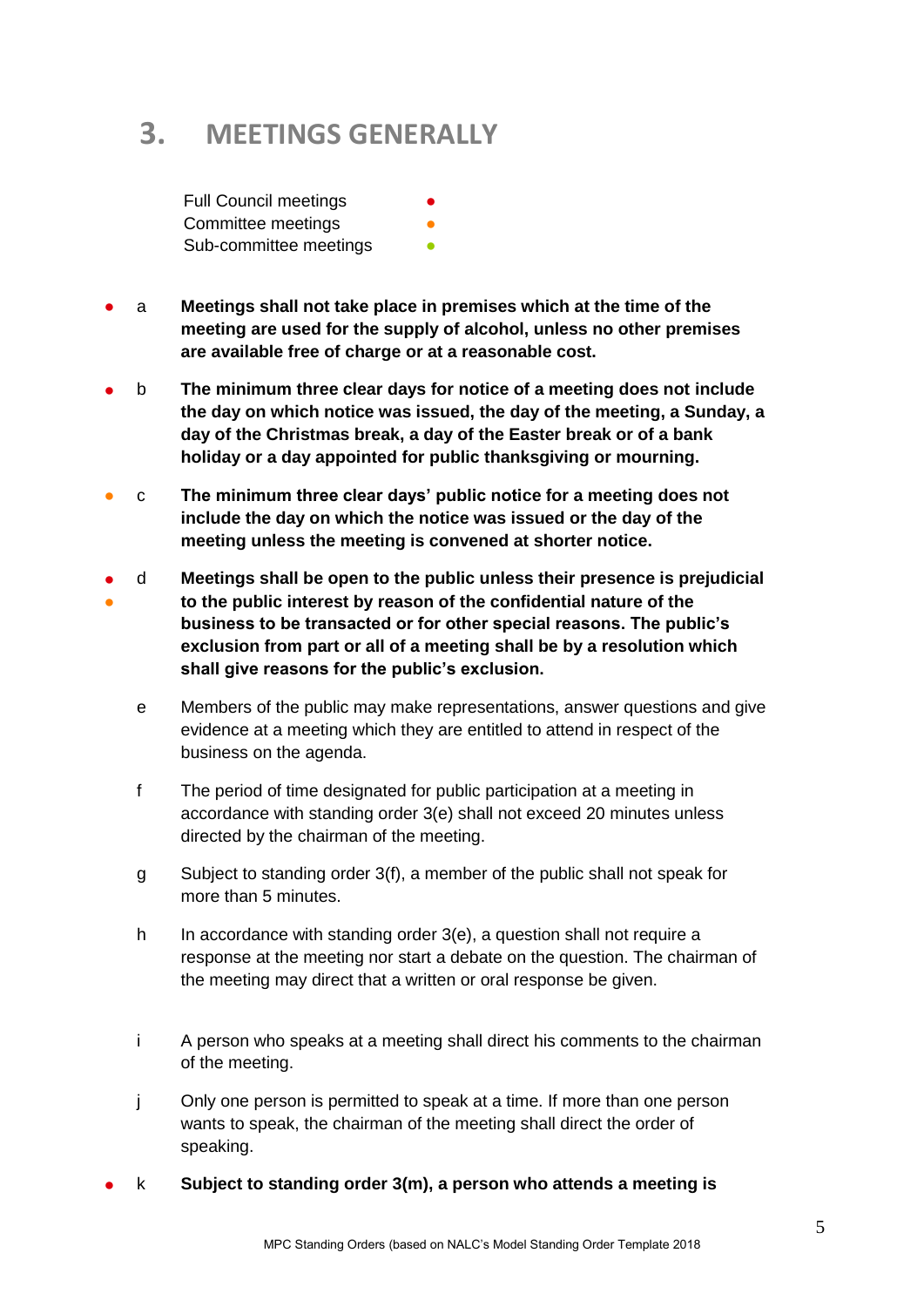## **3. MEETINGS GENERALLY**

**Full Council meetings** Committee meetings Sub-committee meetings

- a **Meetings shall not take place in premises which at the time of the meeting are used for the supply of alcohol, unless no other premises are available free of charge or at a reasonable cost.**
- b **The minimum three clear days for notice of a meeting does not include the day on which notice was issued, the day of the meeting, a Sunday, a day of the Christmas break, a day of the Easter break or of a bank holiday or a day appointed for public thanksgiving or mourning.**
- c **The minimum three clear days' public notice for a meeting does not include the day on which the notice was issued or the day of the meeting unless the meeting is convened at shorter notice.**
- ● d **Meetings shall be open to the public unless their presence is prejudicial to the public interest by reason of the confidential nature of the business to be transacted or for other special reasons. The public's exclusion from part or all of a meeting shall be by a resolution which shall give reasons for the public's exclusion.**
	- e Members of the public may make representations, answer questions and give evidence at a meeting which they are entitled to attend in respect of the business on the agenda.
	- f The period of time designated for public participation at a meeting in accordance with standing order 3(e) shall not exceed 20 minutes unless directed by the chairman of the meeting.
	- g Subject to standing order 3(f), a member of the public shall not speak for more than 5 minutes.
	- h In accordance with standing order 3(e), a question shall not require a response at the meeting nor start a debate on the question. The chairman of the meeting may direct that a written or oral response be given.
	- i A person who speaks at a meeting shall direct his comments to the chairman of the meeting.
	- j Only one person is permitted to speak at a time. If more than one person wants to speak, the chairman of the meeting shall direct the order of speaking.
- k **Subject to standing order 3(m), a person who attends a meeting is**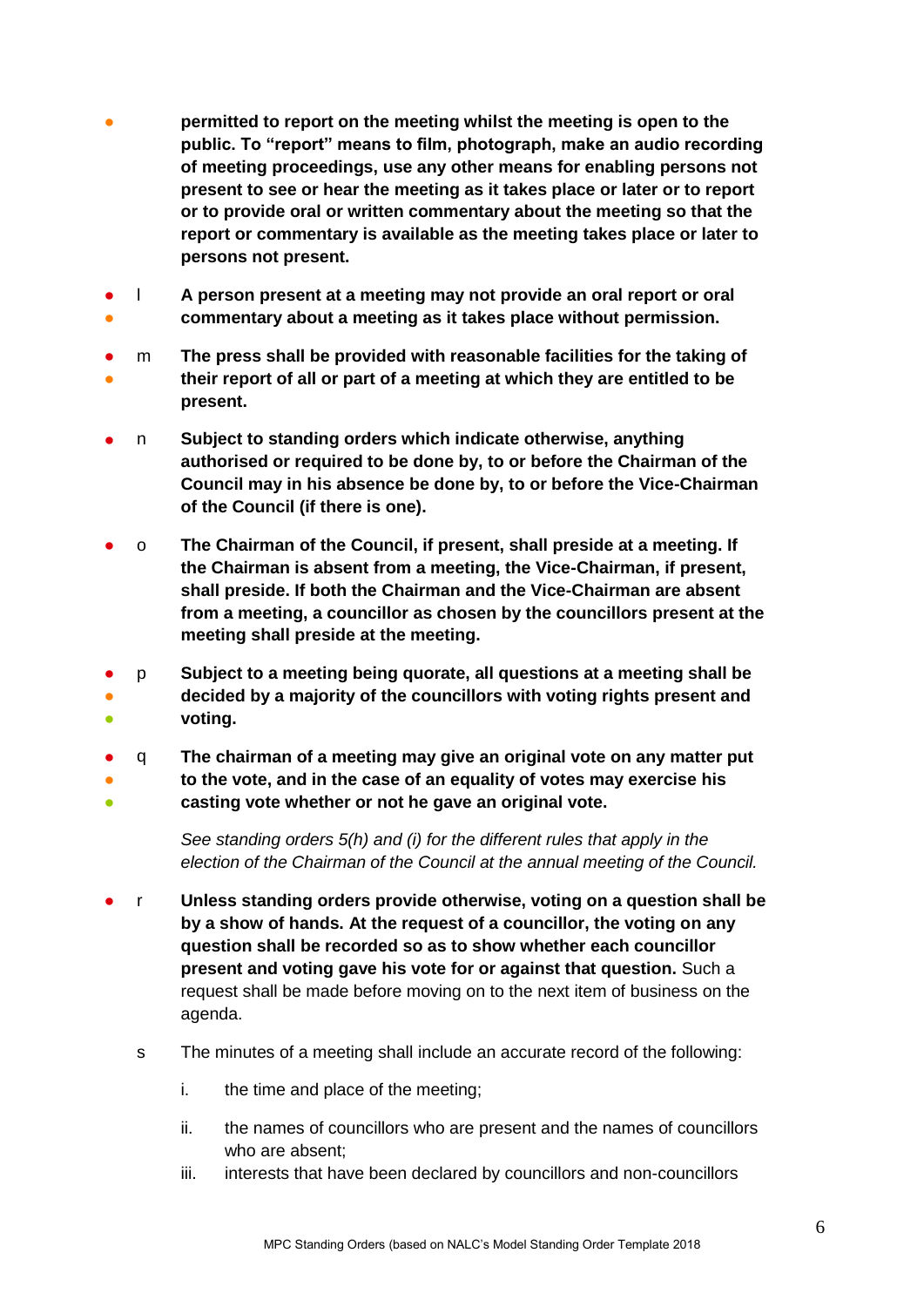- **permitted to report on the meeting whilst the meeting is open to the public. To "report" means to film, photograph, make an audio recording of meeting proceedings, use any other means for enabling persons not present to see or hear the meeting as it takes place or later or to report or to provide oral or written commentary about the meeting so that the report or commentary is available as the meeting takes place or later to persons not present.**
- ● l **A person present at a meeting may not provide an oral report or oral commentary about a meeting as it takes place without permission.**
- ● m **The press shall be provided with reasonable facilities for the taking of their report of all or part of a meeting at which they are entitled to be present.**
- n **Subject to standing orders which indicate otherwise, anything authorised or required to be done by, to or before the Chairman of the Council may in his absence be done by, to or before the Vice-Chairman of the Council (if there is one).**
- o **The Chairman of the Council, if present, shall preside at a meeting. If the Chairman is absent from a meeting, the Vice-Chairman, if present, shall preside. If both the Chairman and the Vice-Chairman are absent from a meeting, a councillor as chosen by the councillors present at the meeting shall preside at the meeting.**
- p **Subject to a meeting being quorate, all questions at a meeting shall be**
- ● **decided by a majority of the councillors with voting rights present and voting.**
- q **The chairman of a meeting may give an original vote on any matter put**
- ● **to the vote, and in the case of an equality of votes may exercise his casting vote whether or not he gave an original vote.**

*See standing orders 5(h) and (i) for the different rules that apply in the election of the Chairman of the Council at the annual meeting of the Council.*

- r **Unless standing orders provide otherwise, voting on a question shall be by a show of hands. At the request of a councillor, the voting on any question shall be recorded so as to show whether each councillor present and voting gave his vote for or against that question.** Such a request shall be made before moving on to the next item of business on the agenda.
	- s The minutes of a meeting shall include an accurate record of the following:
		- i. the time and place of the meeting;
		- ii. the names of councillors who are present and the names of councillors who are absent:
		- iii. interests that have been declared by councillors and non-councillors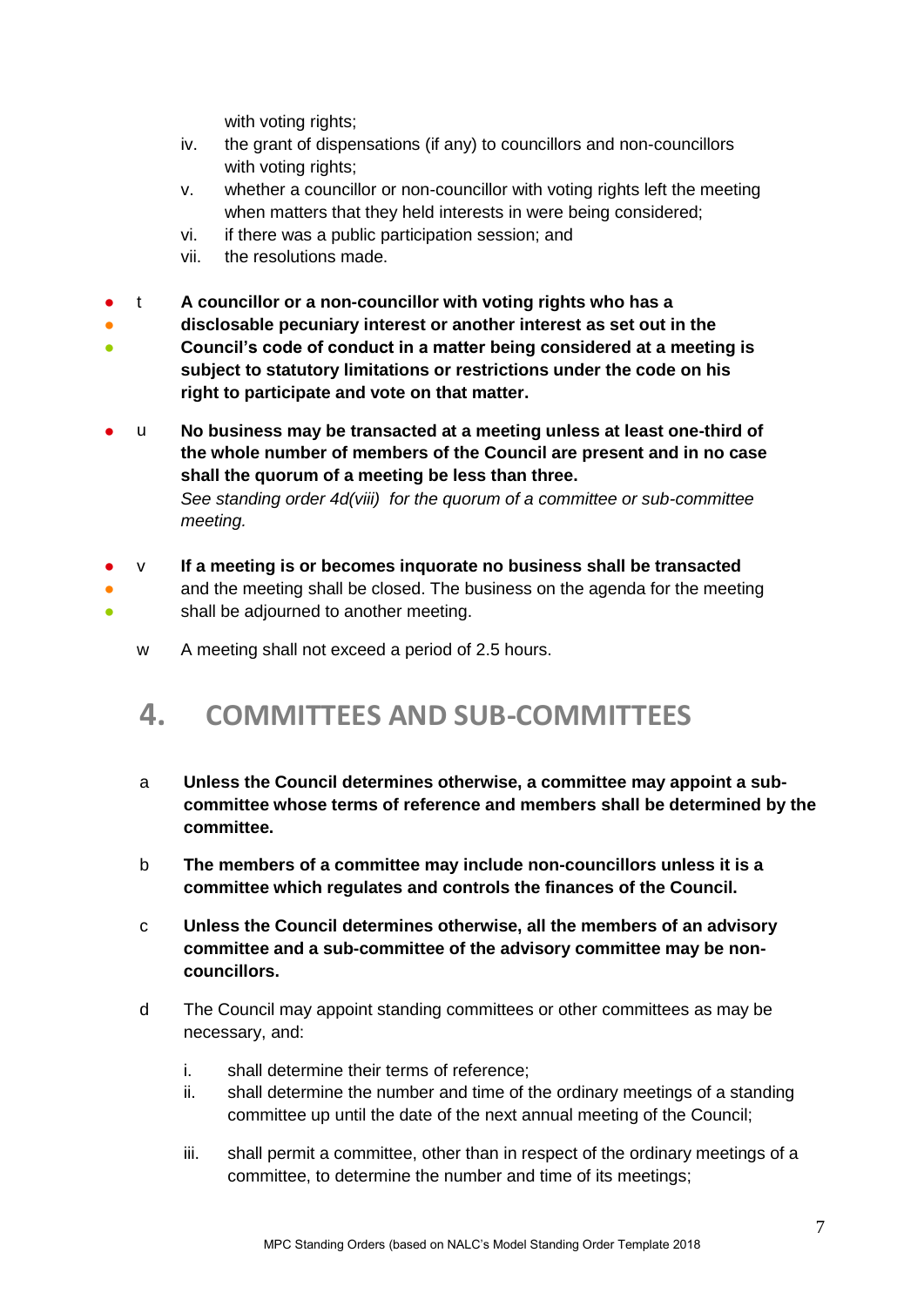with voting rights;

- iv. the grant of dispensations (if any) to councillors and non-councillors with voting rights:
- v. whether a councillor or non-councillor with voting rights left the meeting when matters that they held interests in were being considered;
- vi. if there was a public participation session; and
- vii. the resolutions made.

● ●

- t **A councillor or a non-councillor with voting rights who has a**
- **disclosable pecuniary interest or another interest as set out in the**
- **Council's code of conduct in a matter being considered at a meeting is subject to statutory limitations or restrictions under the code on his right to participate and vote on that matter.**
- u **No business may be transacted at a meeting unless at least one-third of the whole number of members of the Council are present and in no case shall the quorum of a meeting be less than three.** *See standing order 4d(viii) for the quorum of a committee or sub-committee meeting.*
- v **If a meeting is or becomes inquorate no business shall be transacted**
	- and the meeting shall be closed. The business on the agenda for the meeting shall be adjourned to another meeting.
		- w A meeting shall not exceed a period of 2.5 hours.

## <span id="page-6-0"></span>**4. COMMITTEES AND SUB-COMMITTEES**

- a **Unless the Council determines otherwise, a committee may appoint a subcommittee whose terms of reference and members shall be determined by the committee.**
- b **The members of a committee may include non-councillors unless it is a committee which regulates and controls the finances of the Council.**
- c **Unless the Council determines otherwise, all the members of an advisory committee and a sub-committee of the advisory committee may be noncouncillors.**
- d The Council may appoint standing committees or other committees as may be necessary, and:
	- i. shall determine their terms of reference;
	- ii. shall determine the number and time of the ordinary meetings of a standing committee up until the date of the next annual meeting of the Council;
	- iii. shall permit a committee, other than in respect of the ordinary meetings of a committee, to determine the number and time of its meetings;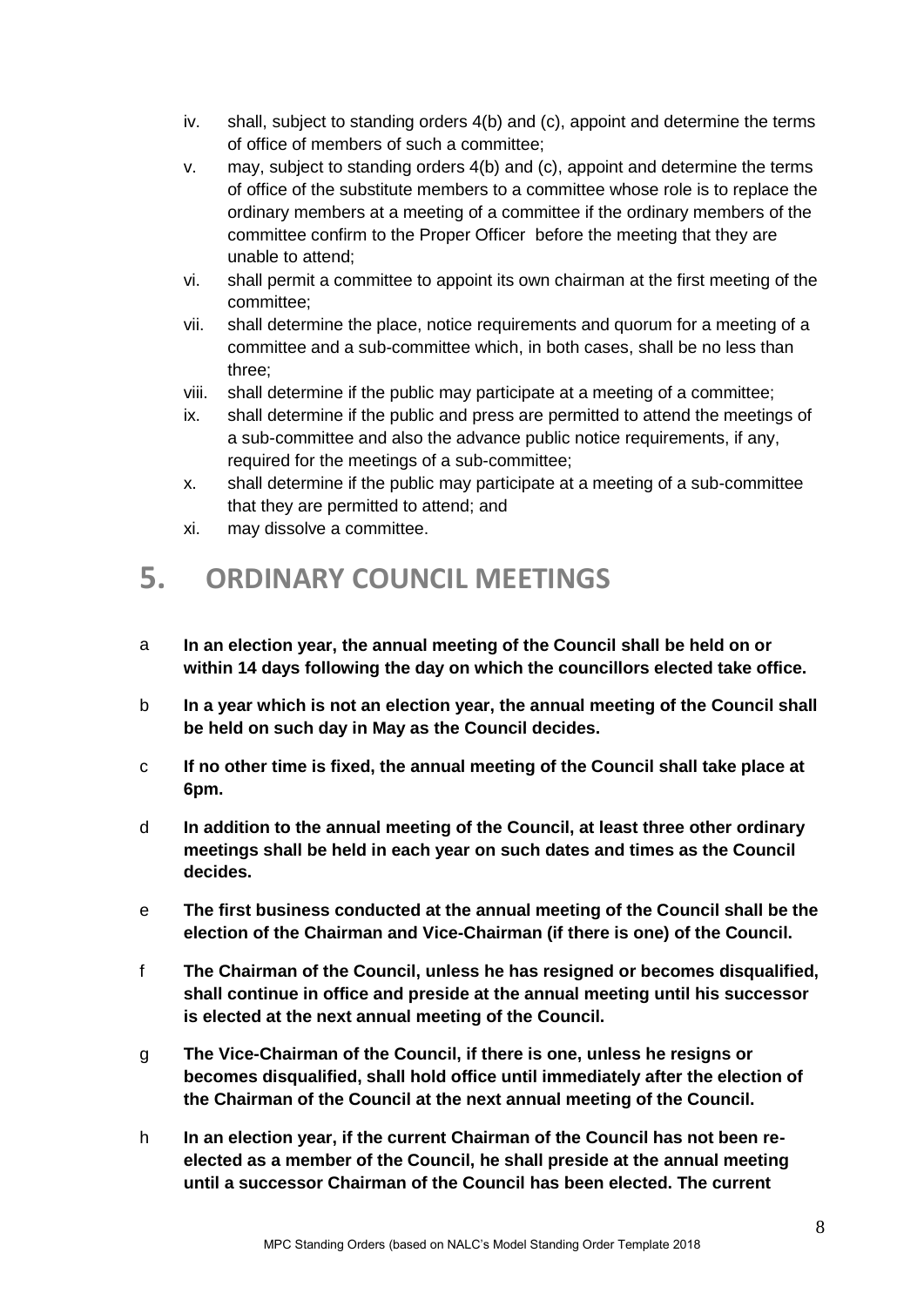- iv. shall, subject to standing orders 4(b) and (c), appoint and determine the terms of office of members of such a committee;
- v. may, subject to standing orders 4(b) and (c), appoint and determine the terms of office of the substitute members to a committee whose role is to replace the ordinary members at a meeting of a committee if the ordinary members of the committee confirm to the Proper Officer before the meeting that they are unable to attend;
- vi. shall permit a committee to appoint its own chairman at the first meeting of the committee;
- vii. shall determine the place, notice requirements and quorum for a meeting of a committee and a sub-committee which, in both cases, shall be no less than three;
- viii. shall determine if the public may participate at a meeting of a committee;
- ix. shall determine if the public and press are permitted to attend the meetings of a sub-committee and also the advance public notice requirements, if any, required for the meetings of a sub-committee;
- x. shall determine if the public may participate at a meeting of a sub-committee that they are permitted to attend; and
- xi. may dissolve a committee.

## <span id="page-7-0"></span>**5. ORDINARY COUNCIL MEETINGS**

- a **In an election year, the annual meeting of the Council shall be held on or within 14 days following the day on which the councillors elected take office.**
- b **In a year which is not an election year, the annual meeting of the Council shall be held on such day in May as the Council decides.**
- c **If no other time is fixed, the annual meeting of the Council shall take place at 6pm.**
- d **In addition to the annual meeting of the Council, at least three other ordinary meetings shall be held in each year on such dates and times as the Council decides.**
- e **The first business conducted at the annual meeting of the Council shall be the election of the Chairman and Vice-Chairman (if there is one) of the Council.**
- f **The Chairman of the Council, unless he has resigned or becomes disqualified, shall continue in office and preside at the annual meeting until his successor is elected at the next annual meeting of the Council.**
- g **The Vice-Chairman of the Council, if there is one, unless he resigns or becomes disqualified, shall hold office until immediately after the election of the Chairman of the Council at the next annual meeting of the Council.**
- h **In an election year, if the current Chairman of the Council has not been reelected as a member of the Council, he shall preside at the annual meeting until a successor Chairman of the Council has been elected. The current**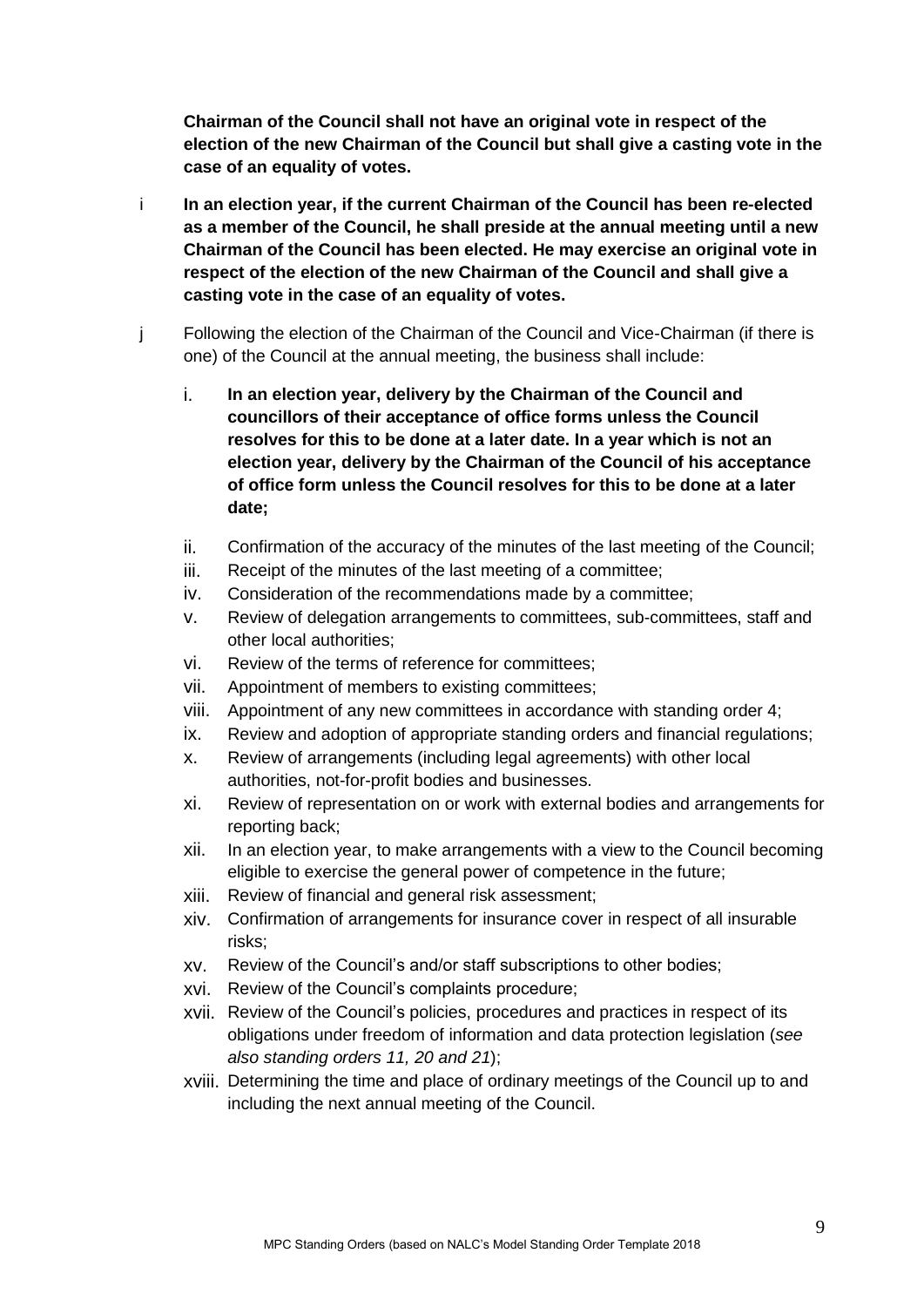**Chairman of the Council shall not have an original vote in respect of the election of the new Chairman of the Council but shall give a casting vote in the case of an equality of votes.**

- i **In an election year, if the current Chairman of the Council has been re-elected as a member of the Council, he shall preside at the annual meeting until a new Chairman of the Council has been elected. He may exercise an original vote in respect of the election of the new Chairman of the Council and shall give a casting vote in the case of an equality of votes.**
- j Following the election of the Chairman of the Council and Vice-Chairman (if there is one) of the Council at the annual meeting, the business shall include:
	- i. **In an election year, delivery by the Chairman of the Council and councillors of their acceptance of office forms unless the Council resolves for this to be done at a later date. In a year which is not an election year, delivery by the Chairman of the Council of his acceptance of office form unless the Council resolves for this to be done at a later date;**
	- ii. Confirmation of the accuracy of the minutes of the last meeting of the Council;
	- iii. Receipt of the minutes of the last meeting of a committee;
	- iv. Consideration of the recommendations made by a committee;
	- v. Review of delegation arrangements to committees, sub-committees, staff and other local authorities;
	- vi. Review of the terms of reference for committees;
	- vii. Appointment of members to existing committees;
	- viii. Appointment of any new committees in accordance with standing order 4;
	- ix. Review and adoption of appropriate standing orders and financial regulations;
	- x. Review of arrangements (including legal agreements) with other local authorities, not-for-profit bodies and businesses.
	- xi. Review of representation on or work with external bodies and arrangements for reporting back;
	- xii. In an election year, to make arrangements with a view to the Council becoming eligible to exercise the general power of competence in the future;
	- xiii. Review of financial and general risk assessment;
	- xiv. Confirmation of arrangements for insurance cover in respect of all insurable risks;
	- xv. Review of the Council's and/or staff subscriptions to other bodies;
	- xvi. Review of the Council's complaints procedure;
	- xvii. Review of the Council's policies, procedures and practices in respect of its obligations under freedom of information and data protection legislation (*see also standing orders 11, 20 and 21*);
	- xviii. Determining the time and place of ordinary meetings of the Council up to and including the next annual meeting of the Council.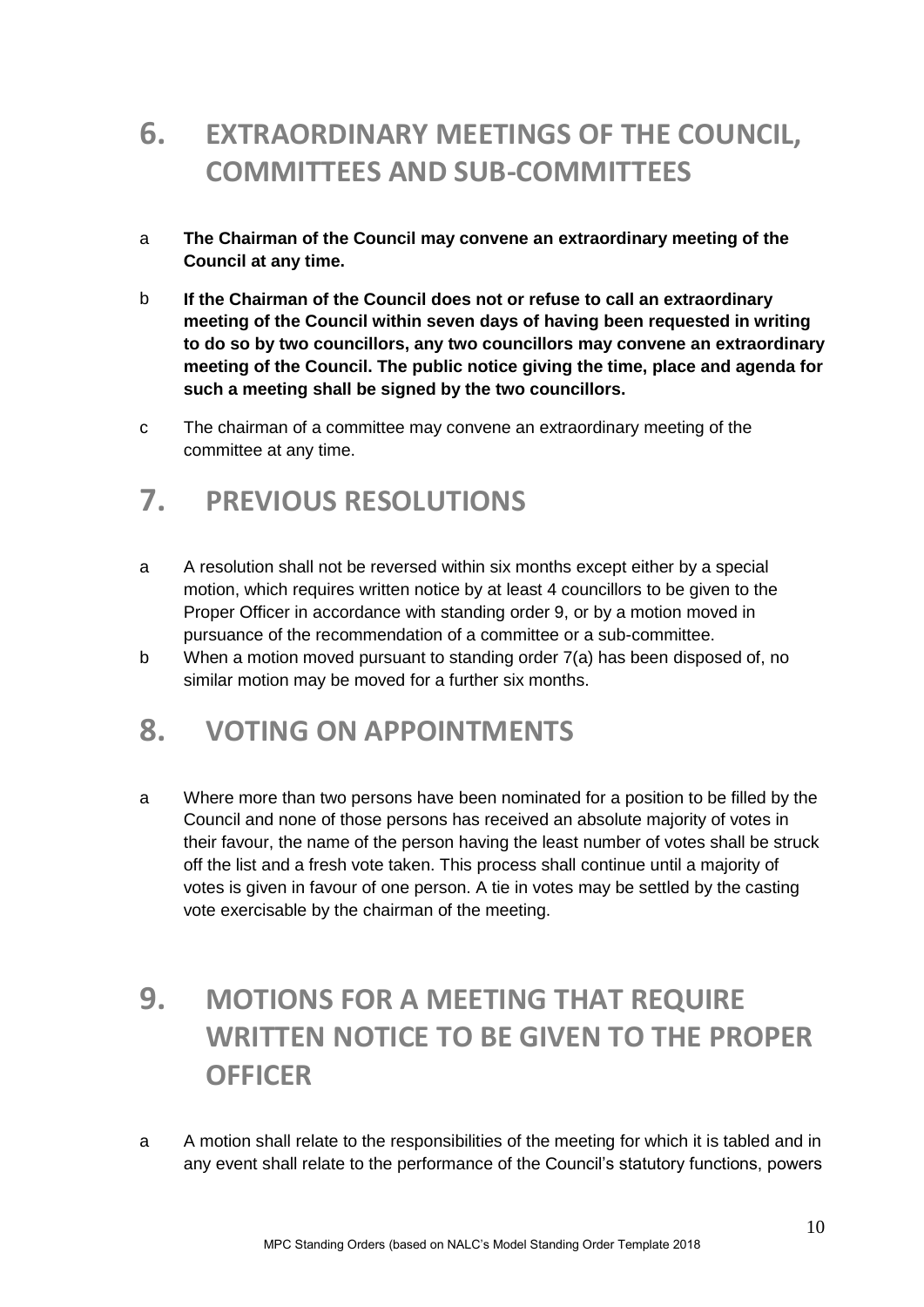## <span id="page-9-0"></span>**6. EXTRAORDINARY MEETINGS OF THE COUNCIL, COMMITTEES AND SUB-COMMITTEES**

- a **The Chairman of the Council may convene an extraordinary meeting of the Council at any time.**
- b **If the Chairman of the Council does not or refuse to call an extraordinary meeting of the Council within seven days of having been requested in writing to do so by two councillors, any two councillors may convene an extraordinary meeting of the Council. The public notice giving the time, place and agenda for such a meeting shall be signed by the two councillors.**
- c The chairman of a committee may convene an extraordinary meeting of the committee at any time.

## <span id="page-9-1"></span>**7. PREVIOUS RESOLUTIONS**

- a A resolution shall not be reversed within six months except either by a special motion, which requires written notice by at least 4 councillors to be given to the Proper Officer in accordance with standing order 9, or by a motion moved in pursuance of the recommendation of a committee or a sub-committee.
- b When a motion moved pursuant to standing order 7(a) has been disposed of, no similar motion may be moved for a further six months.

## <span id="page-9-2"></span>**8. VOTING ON APPOINTMENTS**

a Where more than two persons have been nominated for a position to be filled by the Council and none of those persons has received an absolute majority of votes in their favour, the name of the person having the least number of votes shall be struck off the list and a fresh vote taken. This process shall continue until a majority of votes is given in favour of one person. A tie in votes may be settled by the casting vote exercisable by the chairman of the meeting.

## <span id="page-9-3"></span>**9. MOTIONS FOR A MEETING THAT REQUIRE WRITTEN NOTICE TO BE GIVEN TO THE PROPER OFFICER**

a A motion shall relate to the responsibilities of the meeting for which it is tabled and in any event shall relate to the performance of the Council's statutory functions, powers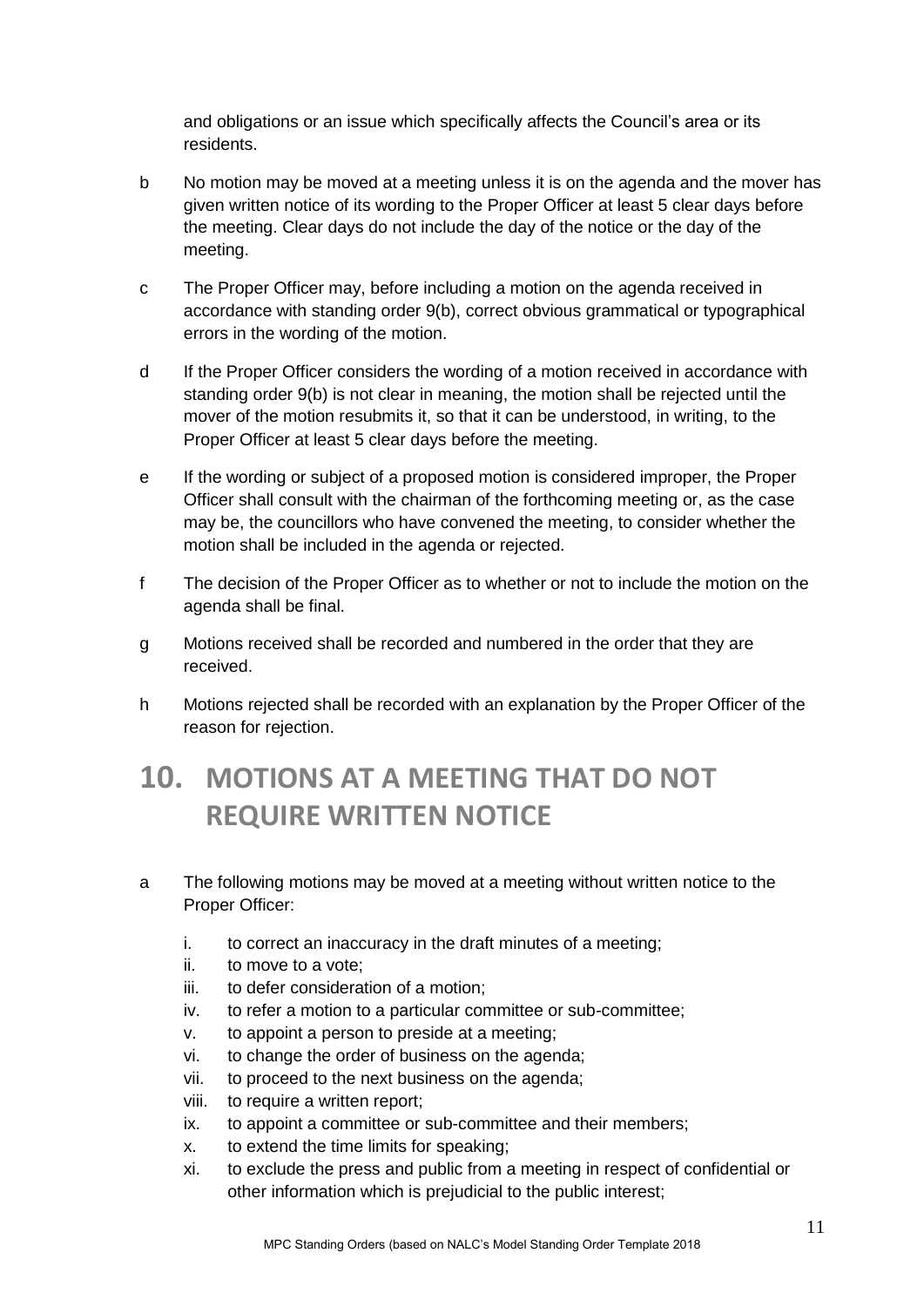and obligations or an issue which specifically affects the Council's area or its residents.

- b No motion may be moved at a meeting unless it is on the agenda and the mover has given written notice of its wording to the Proper Officer at least 5 clear days before the meeting. Clear days do not include the day of the notice or the day of the meeting.
- c The Proper Officer may, before including a motion on the agenda received in accordance with standing order 9(b), correct obvious grammatical or typographical errors in the wording of the motion.
- d If the Proper Officer considers the wording of a motion received in accordance with standing order 9(b) is not clear in meaning, the motion shall be rejected until the mover of the motion resubmits it, so that it can be understood, in writing, to the Proper Officer at least 5 clear days before the meeting.
- e If the wording or subject of a proposed motion is considered improper, the Proper Officer shall consult with the chairman of the forthcoming meeting or, as the case may be, the councillors who have convened the meeting, to consider whether the motion shall be included in the agenda or rejected.
- f The decision of the Proper Officer as to whether or not to include the motion on the agenda shall be final.
- g Motions received shall be recorded and numbered in the order that they are received.
- h Motions rejected shall be recorded with an explanation by the Proper Officer of the reason for rejection.

## <span id="page-10-0"></span>**10. MOTIONS AT A MEETING THAT DO NOT REQUIRE WRITTEN NOTICE**

- a The following motions may be moved at a meeting without written notice to the Proper Officer:
	- i. to correct an inaccuracy in the draft minutes of a meeting;
	- ii. to move to a vote;
	- iii. to defer consideration of a motion;
	- iv. to refer a motion to a particular committee or sub-committee;
	- v. to appoint a person to preside at a meeting;
	- vi. to change the order of business on the agenda;
	- vii. to proceed to the next business on the agenda;
	- viii. to require a written report;
	- ix. to appoint a committee or sub-committee and their members;
	- x. to extend the time limits for speaking;
	- xi. to exclude the press and public from a meeting in respect of confidential or other information which is prejudicial to the public interest;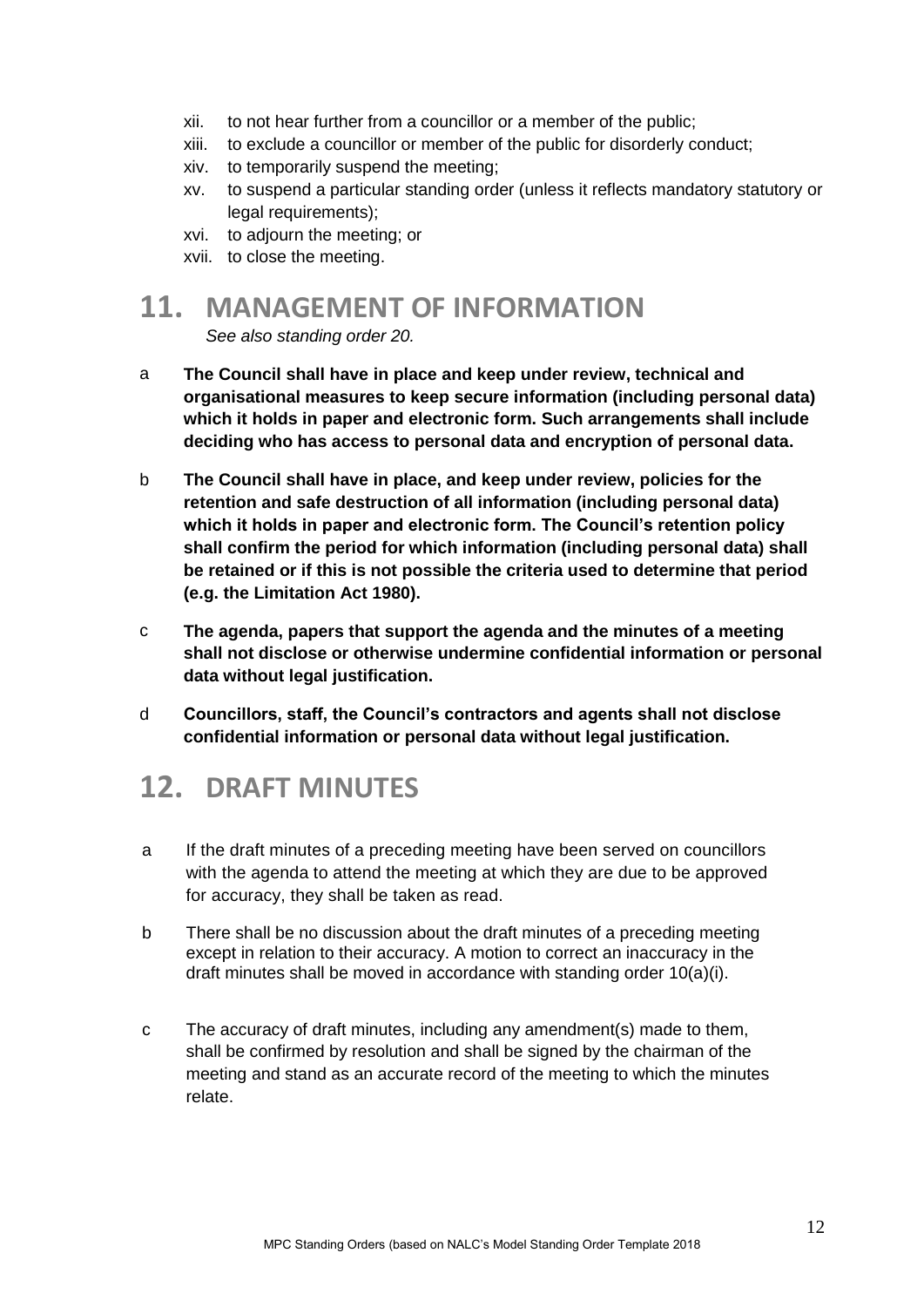- xii. to not hear further from a councillor or a member of the public;
- xiii. to exclude a councillor or member of the public for disorderly conduct;
- xiv. to temporarily suspend the meeting;
- xv. to suspend a particular standing order (unless it reflects mandatory statutory or legal requirements);
- xvi. to adjourn the meeting; or
- xvii. to close the meeting.

## <span id="page-11-0"></span>**11. MANAGEMENT OF INFORMATION**

*See also standing order 20.*

- a **The Council shall have in place and keep under review, technical and organisational measures to keep secure information (including personal data) which it holds in paper and electronic form. Such arrangements shall include deciding who has access to personal data and encryption of personal data.**
- b **The Council shall have in place, and keep under review, policies for the retention and safe destruction of all information (including personal data) which it holds in paper and electronic form. The Council's retention policy shall confirm the period for which information (including personal data) shall be retained or if this is not possible the criteria used to determine that period (e.g. the Limitation Act 1980).**
- c **The agenda, papers that support the agenda and the minutes of a meeting shall not disclose or otherwise undermine confidential information or personal data without legal justification.**
- d **Councillors, staff, the Council's contractors and agents shall not disclose confidential information or personal data without legal justification.**

## <span id="page-11-1"></span>**12. DRAFT MINUTES**

- a If the draft minutes of a preceding meeting have been served on councillors with the agenda to attend the meeting at which they are due to be approved for accuracy, they shall be taken as read.
- b There shall be no discussion about the draft minutes of a preceding meeting except in relation to their accuracy. A motion to correct an inaccuracy in the draft minutes shall be moved in accordance with standing order 10(a)(i).
- c The accuracy of draft minutes, including any amendment(s) made to them, shall be confirmed by resolution and shall be signed by the chairman of the meeting and stand as an accurate record of the meeting to which the minutes relate.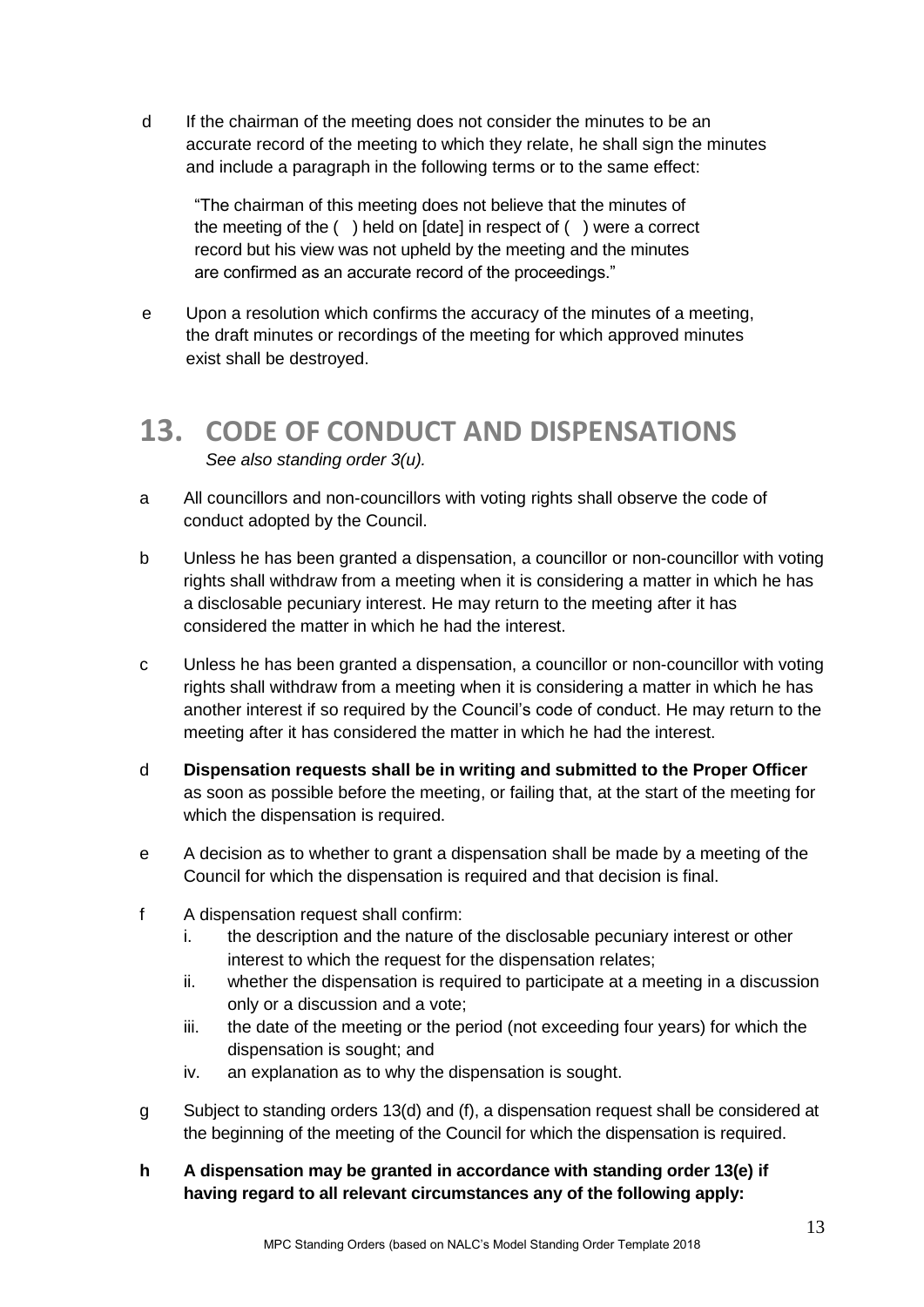d If the chairman of the meeting does not consider the minutes to be an accurate record of the meeting to which they relate, he shall sign the minutes and include a paragraph in the following terms or to the same effect:

"The chairman of this meeting does not believe that the minutes of the meeting of the ( ) held on [date] in respect of ( ) were a correct record but his view was not upheld by the meeting and the minutes are confirmed as an accurate record of the proceedings."

e Upon a resolution which confirms the accuracy of the minutes of a meeting, the draft minutes or recordings of the meeting for which approved minutes exist shall be destroyed.

#### <span id="page-12-0"></span>**13. CODE OF CONDUCT AND DISPENSATIONS** *See also standing order 3(u).*

- a All councillors and non-councillors with voting rights shall observe the code of conduct adopted by the Council.
- b Unless he has been granted a dispensation, a councillor or non-councillor with voting rights shall withdraw from a meeting when it is considering a matter in which he has a disclosable pecuniary interest. He may return to the meeting after it has considered the matter in which he had the interest.
- c Unless he has been granted a dispensation, a councillor or non-councillor with voting rights shall withdraw from a meeting when it is considering a matter in which he has another interest if so required by the Council's code of conduct. He may return to the meeting after it has considered the matter in which he had the interest.
- d **Dispensation requests shall be in writing and submitted to the Proper Officer** as soon as possible before the meeting, or failing that, at the start of the meeting for which the dispensation is required.
- e A decision as to whether to grant a dispensation shall be made by a meeting of the Council for which the dispensation is required and that decision is final.
- f A dispensation request shall confirm:
	- i. the description and the nature of the disclosable pecuniary interest or other interest to which the request for the dispensation relates;
	- ii. whether the dispensation is required to participate at a meeting in a discussion only or a discussion and a vote;
	- iii. the date of the meeting or the period (not exceeding four years) for which the dispensation is sought; and
	- iv. an explanation as to why the dispensation is sought.
- g Subject to standing orders 13(d) and (f), a dispensation request shall be considered at the beginning of the meeting of the Council for which the dispensation is required.
- **h A dispensation may be granted in accordance with standing order 13(e) if having regard to all relevant circumstances any of the following apply:**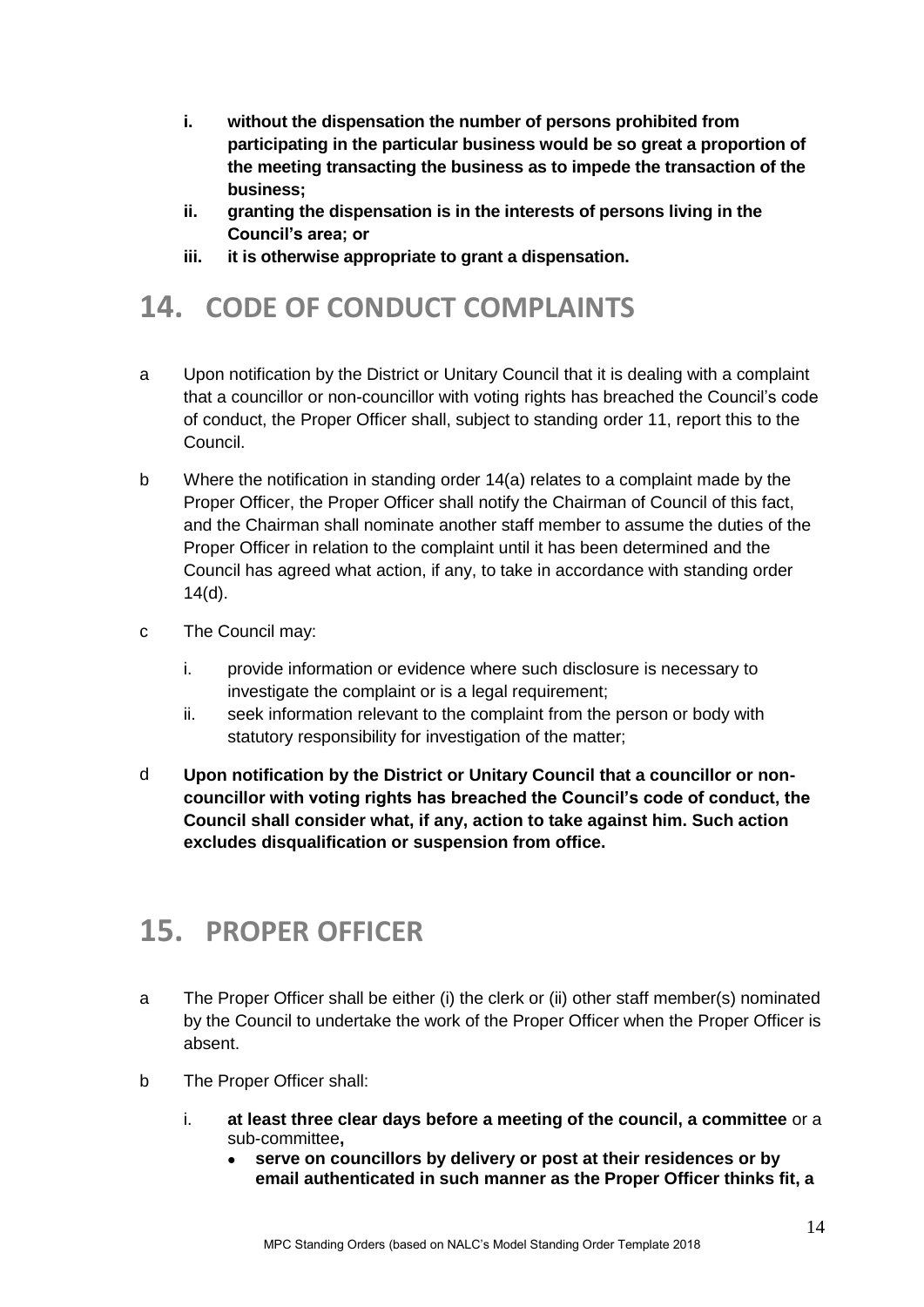- **i. without the dispensation the number of persons prohibited from participating in the particular business would be so great a proportion of the meeting transacting the business as to impede the transaction of the business;**
- **ii. granting the dispensation is in the interests of persons living in the Council's area; or**
- **iii. it is otherwise appropriate to grant a dispensation.**

## <span id="page-13-0"></span>**14. CODE OF CONDUCT COMPLAINTS**

- a Upon notification by the District or Unitary Council that it is dealing with a complaint that a councillor or non-councillor with voting rights has breached the Council's code of conduct, the Proper Officer shall, subject to standing order 11, report this to the Council.
- b Where the notification in standing order 14(a) relates to a complaint made by the Proper Officer, the Proper Officer shall notify the Chairman of Council of this fact, and the Chairman shall nominate another staff member to assume the duties of the Proper Officer in relation to the complaint until it has been determined and the Council has agreed what action, if any, to take in accordance with standing order 14(d).
- c The Council may:
	- i. provide information or evidence where such disclosure is necessary to investigate the complaint or is a legal requirement;
	- ii. seek information relevant to the complaint from the person or body with statutory responsibility for investigation of the matter;
- d **Upon notification by the District or Unitary Council that a councillor or noncouncillor with voting rights has breached the Council's code of conduct, the Council shall consider what, if any, action to take against him. Such action excludes disqualification or suspension from office.**

## <span id="page-13-1"></span>**15. PROPER OFFICER**

- a The Proper Officer shall be either (i) the clerk or (ii) other staff member(s) nominated by the Council to undertake the work of the Proper Officer when the Proper Officer is absent.
- b The Proper Officer shall:
	- i. **at least three clear days before a meeting of the council, a committee** or a sub-committee**,**
		- **serve on councillors by delivery or post at their residences or by email authenticated in such manner as the Proper Officer thinks fit, a**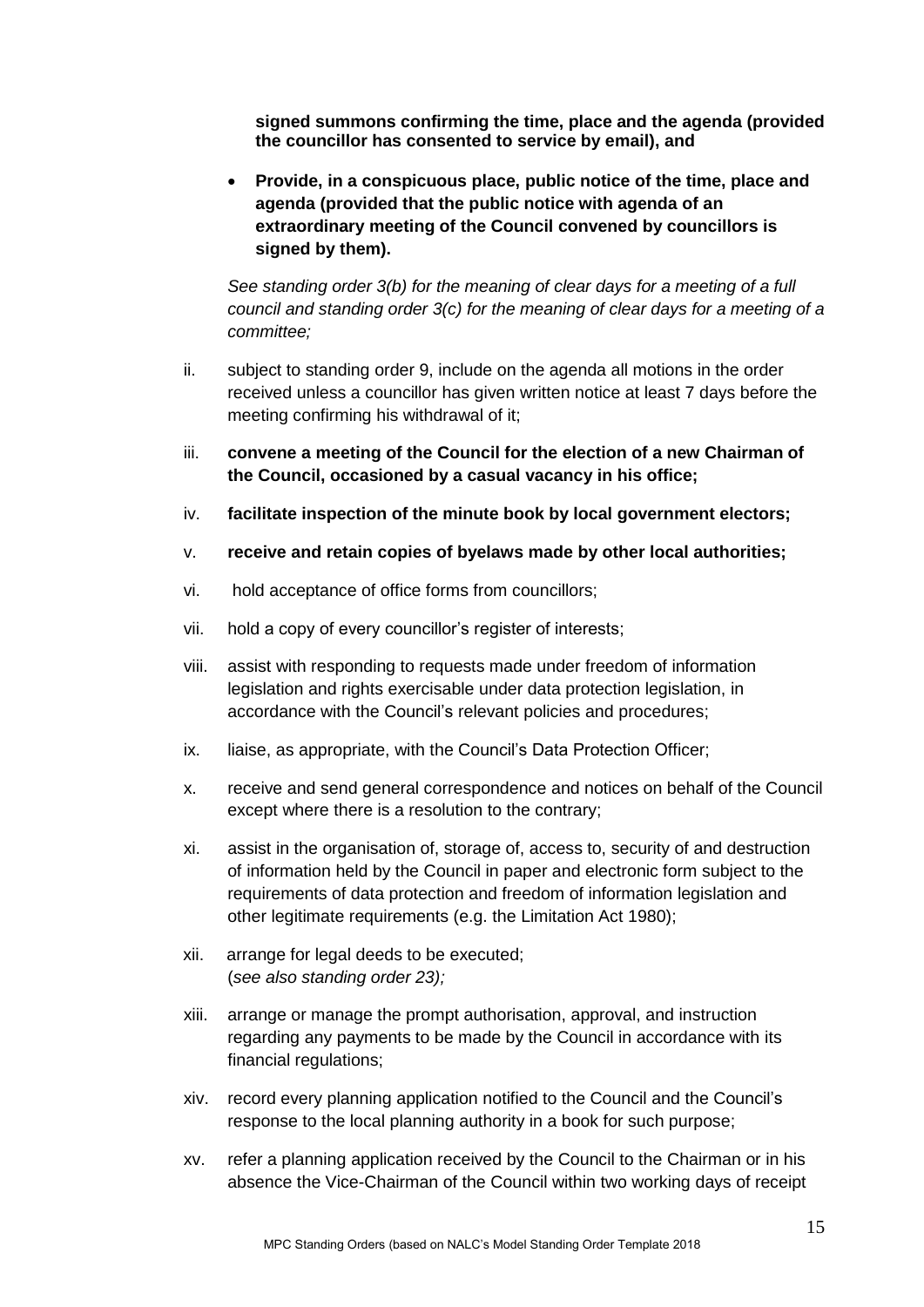**signed summons confirming the time, place and the agenda (provided the councillor has consented to service by email), and**

 **Provide, in a conspicuous place, public notice of the time, place and agenda (provided that the public notice with agenda of an extraordinary meeting of the Council convened by councillors is signed by them).**

*See standing order 3(b) for the meaning of clear days for a meeting of a full council and standing order 3(c) for the meaning of clear days for a meeting of a committee;*

- ii. subject to standing order 9, include on the agenda all motions in the order received unless a councillor has given written notice at least 7 days before the meeting confirming his withdrawal of it;
- iii. **convene a meeting of the Council for the election of a new Chairman of the Council, occasioned by a casual vacancy in his office;**
- iv. **facilitate inspection of the minute book by local government electors;**
- v. **receive and retain copies of byelaws made by other local authorities;**
- vi. hold acceptance of office forms from councillors;
- vii. hold a copy of every councillor's register of interests;
- viii. assist with responding to requests made under freedom of information legislation and rights exercisable under data protection legislation, in accordance with the Council's relevant policies and procedures;
- ix. liaise, as appropriate, with the Council's Data Protection Officer;
- x. receive and send general correspondence and notices on behalf of the Council except where there is a resolution to the contrary;
- xi. assist in the organisation of, storage of, access to, security of and destruction of information held by the Council in paper and electronic form subject to the requirements of data protection and freedom of information legislation and other legitimate requirements (e.g. the Limitation Act 1980);
- xii. arrange for legal deeds to be executed; (*see also standing order 23);*
- xiii. arrange or manage the prompt authorisation, approval, and instruction regarding any payments to be made by the Council in accordance with its financial regulations;
- xiv. record every planning application notified to the Council and the Council's response to the local planning authority in a book for such purpose;
- xv. refer a planning application received by the Council to the Chairman or in his absence the Vice-Chairman of the Council within two working days of receipt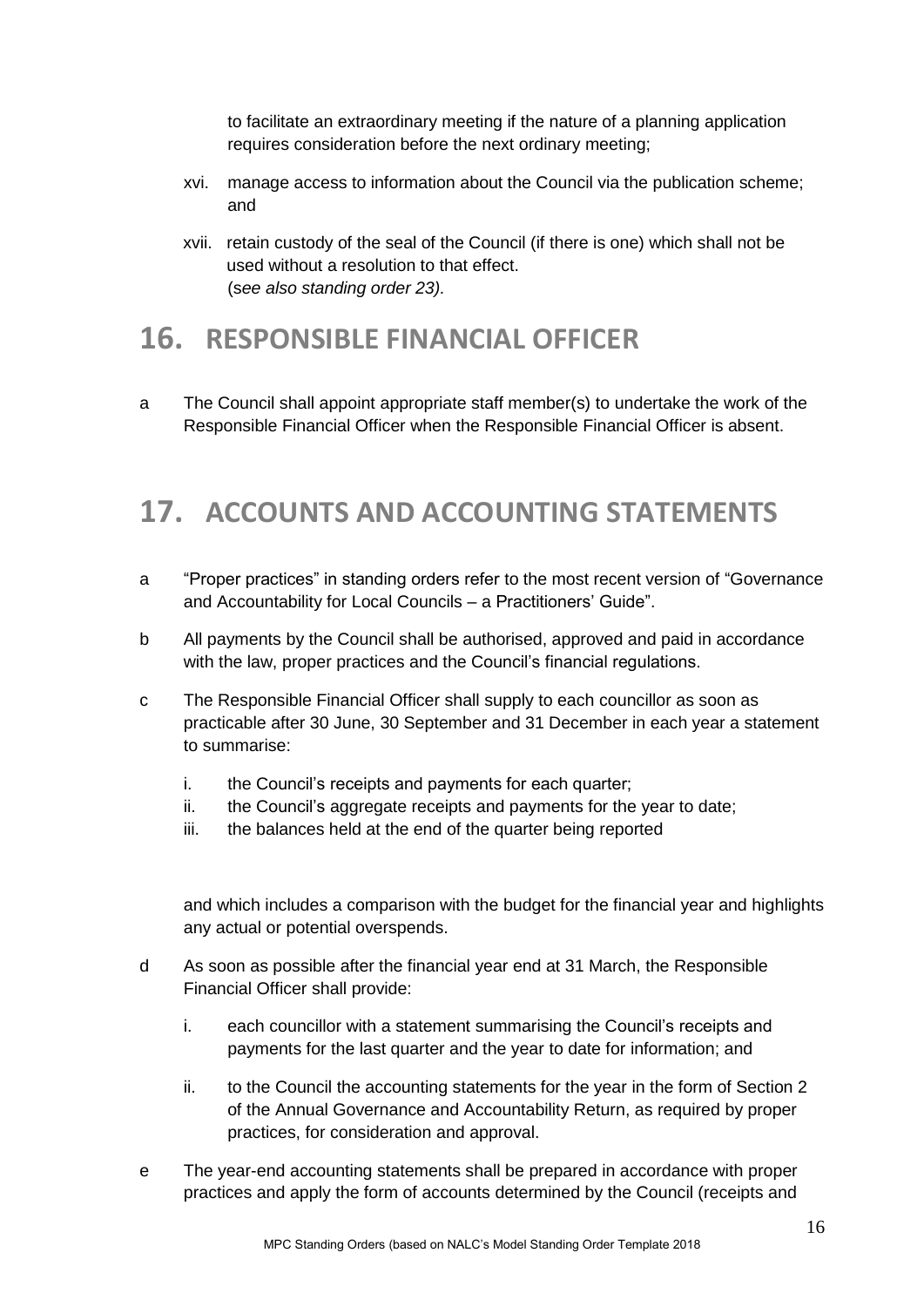to facilitate an extraordinary meeting if the nature of a planning application requires consideration before the next ordinary meeting;

- xvi. manage access to information about the Council via the publication scheme; and
- xvii. retain custody of the seal of the Council (if there is one) which shall not be used without a resolution to that effect. (s*ee also standing order 23).*

## <span id="page-15-0"></span>**16. RESPONSIBLE FINANCIAL OFFICER**

a The Council shall appoint appropriate staff member(s) to undertake the work of the Responsible Financial Officer when the Responsible Financial Officer is absent.

## <span id="page-15-1"></span>**17. ACCOUNTS AND ACCOUNTING STATEMENTS**

- a "Proper practices" in standing orders refer to the most recent version of "Governance and Accountability for Local Councils – a Practitioners' Guide".
- b All payments by the Council shall be authorised, approved and paid in accordance with the law, proper practices and the Council's financial regulations.
- c The Responsible Financial Officer shall supply to each councillor as soon as practicable after 30 June, 30 September and 31 December in each year a statement to summarise:
	- i. the Council's receipts and payments for each quarter;
	- ii. the Council's aggregate receipts and payments for the year to date;
	- iii. the balances held at the end of the quarter being reported

and which includes a comparison with the budget for the financial year and highlights any actual or potential overspends.

- d As soon as possible after the financial year end at 31 March, the Responsible Financial Officer shall provide:
	- i. each councillor with a statement summarising the Council's receipts and payments for the last quarter and the year to date for information; and
	- ii. to the Council the accounting statements for the year in the form of Section 2 of the Annual Governance and Accountability Return, as required by proper practices, for consideration and approval.
- e The year-end accounting statements shall be prepared in accordance with proper practices and apply the form of accounts determined by the Council (receipts and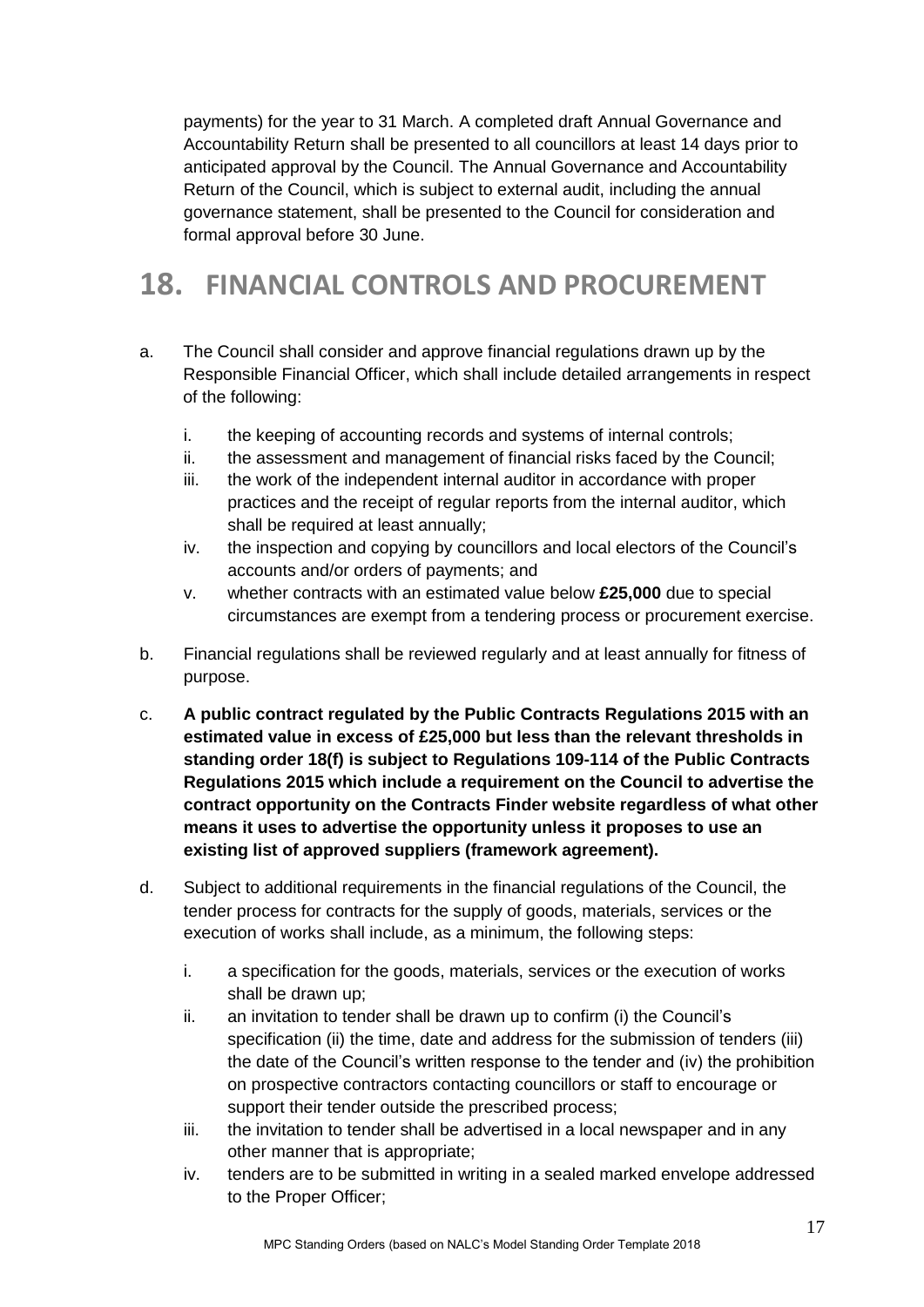payments) for the year to 31 March. A completed draft Annual Governance and Accountability Return shall be presented to all councillors at least 14 days prior to anticipated approval by the Council. The Annual Governance and Accountability Return of the Council, which is subject to external audit, including the annual governance statement, shall be presented to the Council for consideration and formal approval before 30 June.

## <span id="page-16-0"></span>**18. FINANCIAL CONTROLS AND PROCUREMENT**

- a. The Council shall consider and approve financial regulations drawn up by the Responsible Financial Officer, which shall include detailed arrangements in respect of the following:
	- i. the keeping of accounting records and systems of internal controls;
	- ii. the assessment and management of financial risks faced by the Council;
	- iii. the work of the independent internal auditor in accordance with proper practices and the receipt of regular reports from the internal auditor, which shall be required at least annually;
	- iv. the inspection and copying by councillors and local electors of the Council's accounts and/or orders of payments; and
	- v. whether contracts with an estimated value below **£25,000** due to special circumstances are exempt from a tendering process or procurement exercise.
- b. Financial regulations shall be reviewed regularly and at least annually for fitness of purpose.
- c. **A public contract regulated by the Public Contracts Regulations 2015 with an estimated value in excess of £25,000 but less than the relevant thresholds in standing order 18(f) is subject to Regulations 109-114 of the Public Contracts Regulations 2015 which include a requirement on the Council to advertise the contract opportunity on the Contracts Finder website regardless of what other means it uses to advertise the opportunity unless it proposes to use an existing list of approved suppliers (framework agreement).**
- d. Subject to additional requirements in the financial regulations of the Council, the tender process for contracts for the supply of goods, materials, services or the execution of works shall include, as a minimum, the following steps:
	- i. a specification for the goods, materials, services or the execution of works shall be drawn up;
	- ii. an invitation to tender shall be drawn up to confirm (i) the Council's specification (ii) the time, date and address for the submission of tenders (iii) the date of the Council's written response to the tender and (iv) the prohibition on prospective contractors contacting councillors or staff to encourage or support their tender outside the prescribed process;
	- iii. the invitation to tender shall be advertised in a local newspaper and in any other manner that is appropriate;
	- iv. tenders are to be submitted in writing in a sealed marked envelope addressed to the Proper Officer;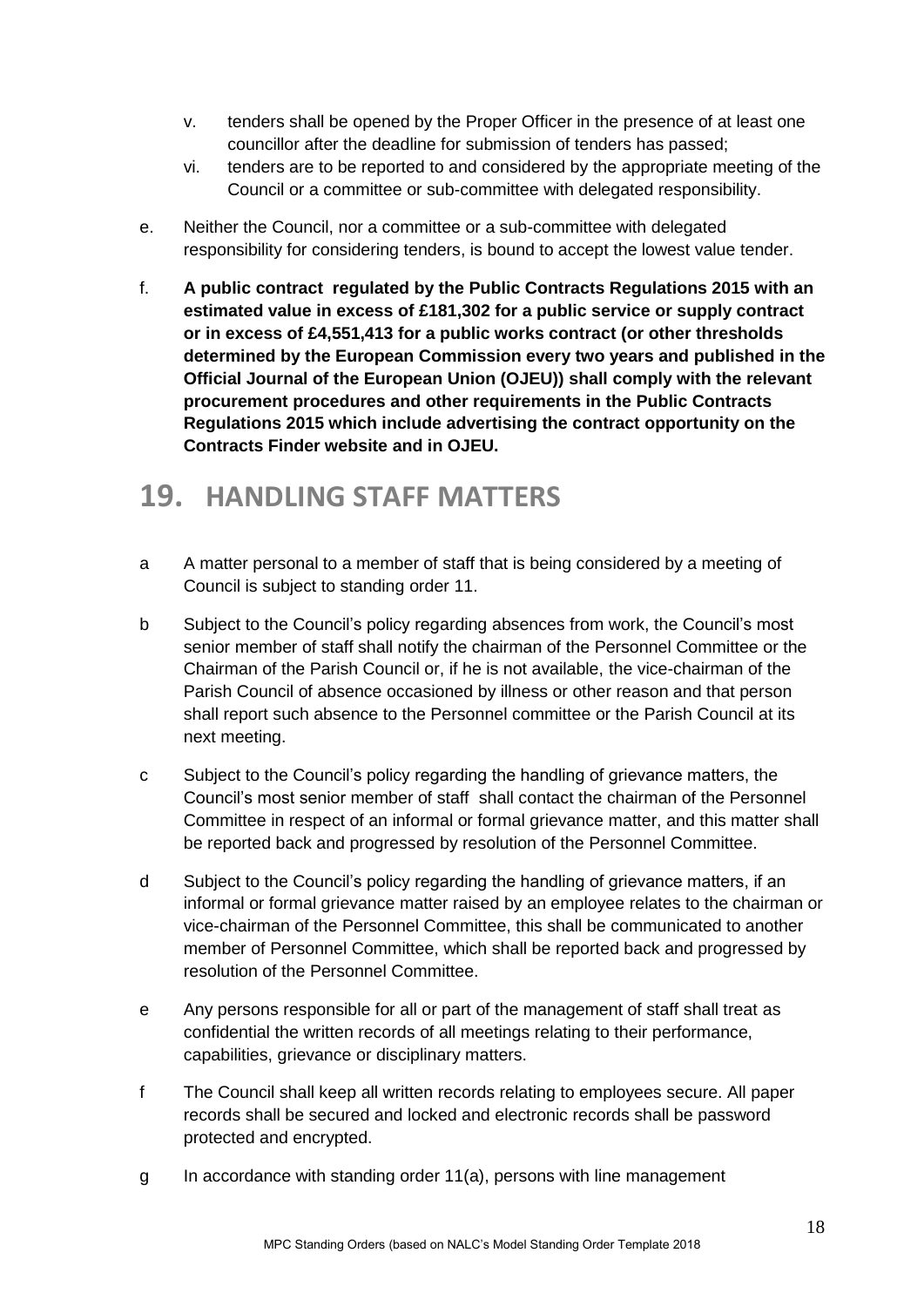- v. tenders shall be opened by the Proper Officer in the presence of at least one councillor after the deadline for submission of tenders has passed;
- vi. tenders are to be reported to and considered by the appropriate meeting of the Council or a committee or sub-committee with delegated responsibility.
- e. Neither the Council, nor a committee or a sub-committee with delegated responsibility for considering tenders, is bound to accept the lowest value tender.
- f. **A public contract regulated by the Public Contracts Regulations 2015 with an estimated value in excess of £181,302 for a public service or supply contract or in excess of £4,551,413 for a public works contract (or other thresholds determined by the European Commission every two years and published in the Official Journal of the European Union (OJEU)) shall comply with the relevant procurement procedures and other requirements in the Public Contracts Regulations 2015 which include advertising the contract opportunity on the Contracts Finder website and in OJEU.**

## <span id="page-17-0"></span>**19. HANDLING STAFF MATTERS**

- a A matter personal to a member of staff that is being considered by a meeting of Council is subject to standing order 11.
- b Subject to the Council's policy regarding absences from work, the Council's most senior member of staff shall notify the chairman of the Personnel Committee or the Chairman of the Parish Council or, if he is not available, the vice-chairman of the Parish Council of absence occasioned by illness or other reason and that person shall report such absence to the Personnel committee or the Parish Council at its next meeting.
- c Subject to the Council's policy regarding the handling of grievance matters, the Council's most senior member of staff shall contact the chairman of the Personnel Committee in respect of an informal or formal grievance matter, and this matter shall be reported back and progressed by resolution of the Personnel Committee.
- d Subject to the Council's policy regarding the handling of grievance matters, if an informal or formal grievance matter raised by an employee relates to the chairman or vice-chairman of the Personnel Committee, this shall be communicated to another member of Personnel Committee, which shall be reported back and progressed by resolution of the Personnel Committee.
- e Any persons responsible for all or part of the management of staff shall treat as confidential the written records of all meetings relating to their performance, capabilities, grievance or disciplinary matters.
- f The Council shall keep all written records relating to employees secure. All paper records shall be secured and locked and electronic records shall be password protected and encrypted.
- g In accordance with standing order 11(a), persons with line management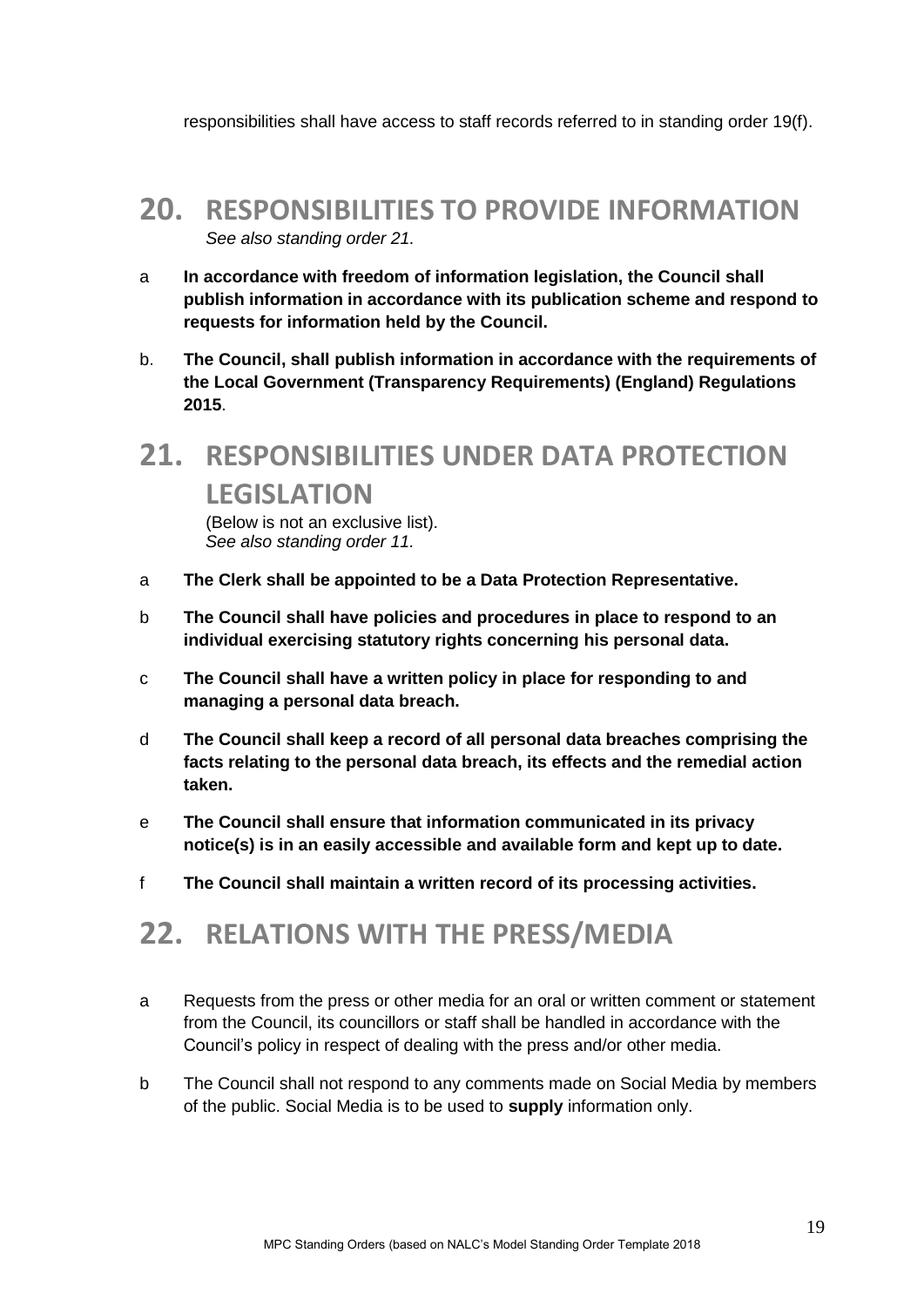responsibilities shall have access to staff records referred to in standing order 19(f).

#### <span id="page-18-0"></span>**20. RESPONSIBILITIES TO PROVIDE INFORMATION**  *See also standing order 21.*

- a **In accordance with freedom of information legislation, the Council shall publish information in accordance with its publication scheme and respond to requests for information held by the Council.**
- b. **The Council, shall publish information in accordance with the requirements of the Local Government (Transparency Requirements) (England) Regulations 2015**.

## <span id="page-18-1"></span>**21. RESPONSIBILITIES UNDER DATA PROTECTION LEGISLATION**

(Below is not an exclusive list). *See also standing order 11.*

- a **The Clerk shall be appointed to be a Data Protection Representative.**
- b **The Council shall have policies and procedures in place to respond to an individual exercising statutory rights concerning his personal data.**
- c **The Council shall have a written policy in place for responding to and managing a personal data breach.**
- d **The Council shall keep a record of all personal data breaches comprising the facts relating to the personal data breach, its effects and the remedial action taken.**
- e **The Council shall ensure that information communicated in its privacy notice(s) is in an easily accessible and available form and kept up to date.**
- f **The Council shall maintain a written record of its processing activities.**

## <span id="page-18-2"></span>**22. RELATIONS WITH THE PRESS/MEDIA**

- a Requests from the press or other media for an oral or written comment or statement from the Council, its councillors or staff shall be handled in accordance with the Council's policy in respect of dealing with the press and/or other media.
- b The Council shall not respond to any comments made on Social Media by members of the public. Social Media is to be used to **supply** information only.